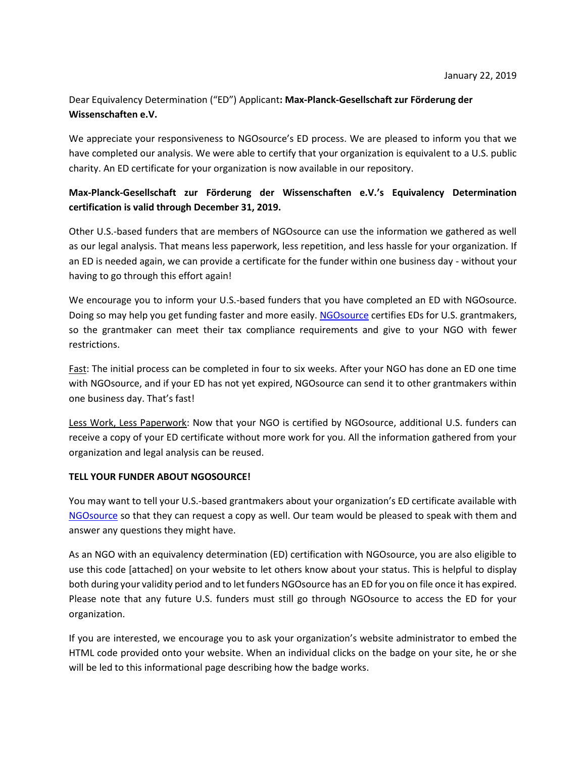## Dear Equivalency Determination ("ED") Applicant**: Max-Planck-Gesellschaft zur Förderung der Wissenschaften e.V.**

We appreciate your responsiveness to NGOsource's ED process. We are pleased to inform you that we have completed our analysis. We were able to certify that your organization is equivalent to a U.S. public charity. An ED certificate for your organization is now available in our repository.

## **Max-Planck-Gesellschaft zur Förderung der Wissenschaften e.V.'s Equivalency Determination certification is valid through December 31, 2019.**

Other U.S.-based funders that are members of NGOsource can use the information we gathered as well as our legal analysis. That means less paperwork, less repetition, and less hassle for your organization. If an ED is needed again, we can provide a certificate for the funder within one business day - without your having to go through this effort again!

We encourage you to inform your U.S.-based funders that you have completed an ED with NGOsource. Doing so may help you get funding faster and more easily. [NGOsource](http://www.ngosource.org/) certifies EDs for U.S. grantmakers, so the grantmaker can meet their tax compliance requirements and give to your NGO with fewer restrictions.

Fast: The initial process can be completed in four to six weeks. After your NGO has done an ED one time with NGOsource, and if your ED has not yet expired, NGOsource can send it to other grantmakers within one business day. That's fast!

Less Work, Less Paperwork: Now that your NGO is certified by NGOsource, additional U.S. funders can receive a copy of your ED certificate without more work for you. All the information gathered from your organization and legal analysis can be reused.

## **TELL YOUR FUNDER ABOUT NGOSOURCE!**

You may want to tell your U.S.-based grantmakers about your organization's ED certificate available with [NGOsource](http://www.ngosource.org/) so that they can request a copy as well. Our team would be pleased to speak with them and answer any questions they might have.

As an NGO with an equivalency determination (ED) certification with NGOsource, you are also eligible to use this code [attached] on your website to let others know about your status. This is helpful to display both during your validity period and to let funders NGOsource has an ED for you on file once it has expired. Please note that any future U.S. funders must still go through NGOsource to access the ED for your organization.

If you are interested, we encourage you to ask your organization's website administrator to embed the HTML code provided onto your website. When an individual clicks on the badge on your site, he or she will be led to this informational page describing how the badge works.